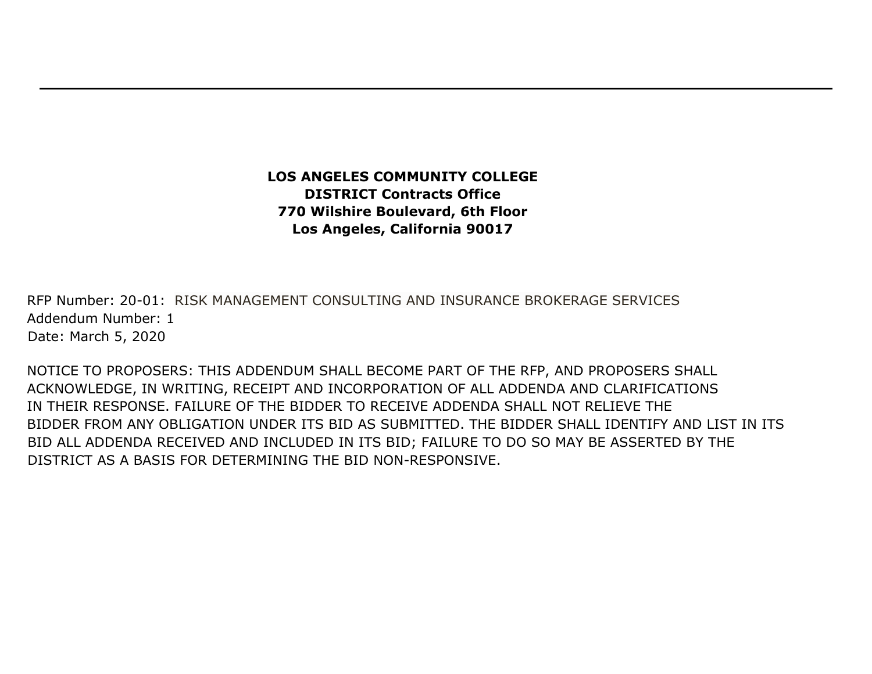**LOS ANGELES COMMUNITY COLLEGE DISTRICT Contracts Office 770 Wilshire Boulevard, 6th Floor Los Angeles, California 90017** 

RFP Number: 20-01: RISK MANAGEMENT CONSULTING AND INSURANCE BROKERAGE SERVICES Addendum Number: 1 Date: March 5, 2020

NOTICE TO PROPOSERS: THIS ADDENDUM SHALL BECOME PART OF THE RFP, AND PROPOSERS SHALL ACKNOWLEDGE, IN WRITING, RECEIPT AND INCORPORATION OF ALL ADDENDA AND CLARIFICATIONS IN THEIR RESPONSE. FAILURE OF THE BIDDER TO RECEIVE ADDENDA SHALL NOT RELIEVE THE BIDDER FROM ANY OBLIGATION UNDER ITS BID AS SUBMITTED. THE BIDDER SHALL IDENTIFY AND LIST IN ITS BID ALL ADDENDA RECEIVED AND INCLUDED IN ITS BID; FAILURE TO DO SO MAY BE ASSERTED BY THE DISTRICT AS A BASIS FOR DETERMINING THE BID NON-RESPONSIVE.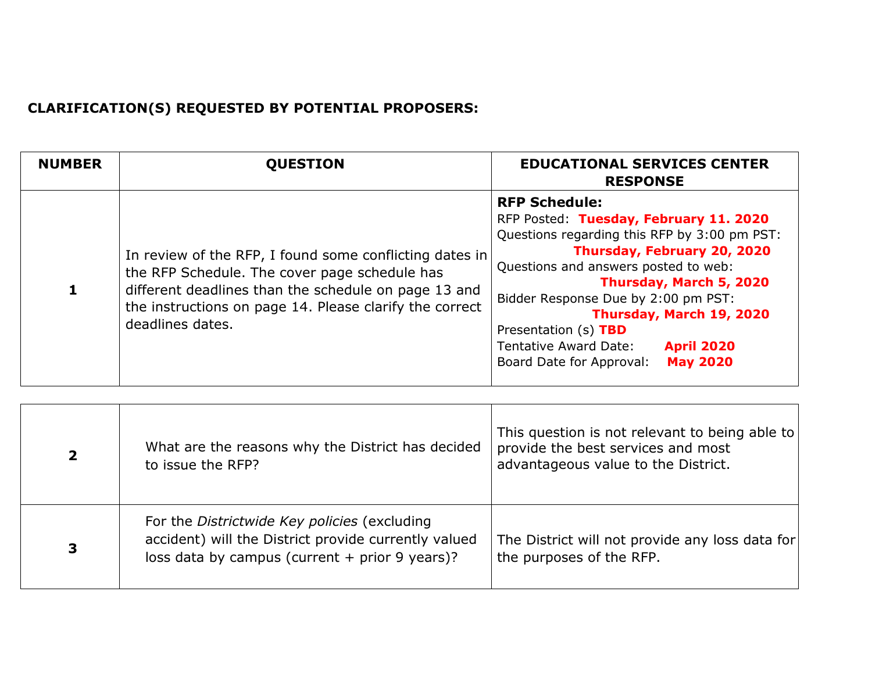## **CLARIFICATION(S) REQUESTED BY POTENTIAL PROPOSERS:**

| <b>NUMBER</b> | <b>OUESTION</b>                                                                                                                                                                                                                                 | <b>EDUCATIONAL SERVICES CENTER</b><br><b>RESPONSE</b>                                                                                                                                                                                                                                                                                                                                                    |
|---------------|-------------------------------------------------------------------------------------------------------------------------------------------------------------------------------------------------------------------------------------------------|----------------------------------------------------------------------------------------------------------------------------------------------------------------------------------------------------------------------------------------------------------------------------------------------------------------------------------------------------------------------------------------------------------|
|               | In review of the RFP, I found some conflicting dates in<br>the RFP Schedule. The cover page schedule has<br>different deadlines than the schedule on page 13 and<br>the instructions on page 14. Please clarify the correct<br>deadlines dates. | <b>RFP Schedule:</b><br>RFP Posted: Tuesday, February 11. 2020<br>Questions regarding this RFP by 3:00 pm PST:<br>Thursday, February 20, 2020<br>Questions and answers posted to web:<br>Thursday, March 5, 2020<br>Bidder Response Due by 2:00 pm PST:<br>Thursday, March 19, 2020<br>Presentation (s) TBD<br>Tentative Award Date:<br><b>April 2020</b><br>Board Date for Approval:<br><b>May 2020</b> |

| $\overline{2}$ | What are the reasons why the District has decided<br>to issue the RFP?                                                                                          | This question is not relevant to being able to<br>provide the best services and most<br>advantageous value to the District. |
|----------------|-----------------------------------------------------------------------------------------------------------------------------------------------------------------|-----------------------------------------------------------------------------------------------------------------------------|
| 3              | For the <i>Districtwide Key policies</i> (excluding<br>accident) will the District provide currently valued<br>loss data by campus (current $+$ prior 9 years)? | The District will not provide any loss data for<br>the purposes of the RFP.                                                 |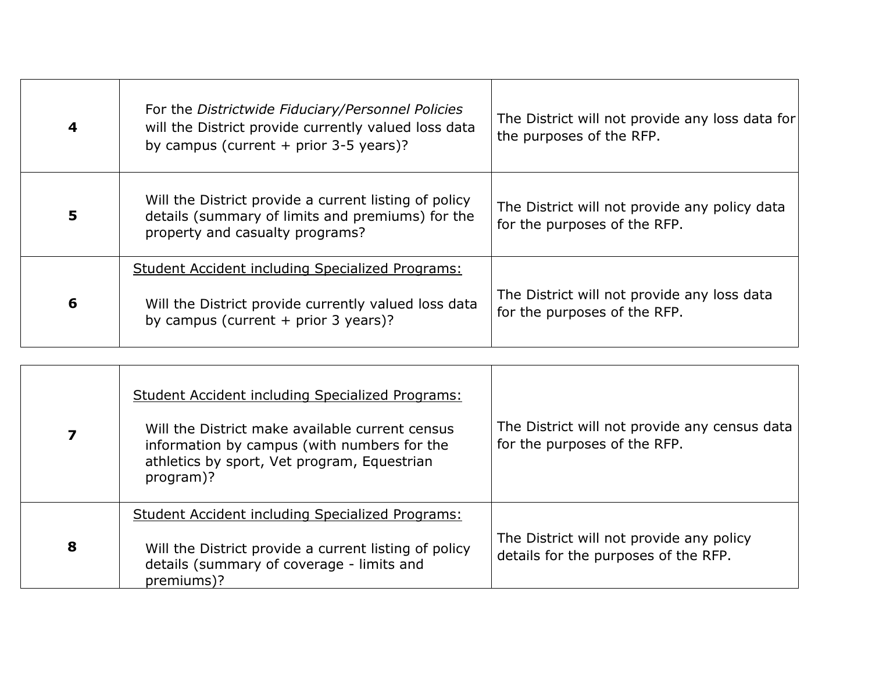| $\overline{\mathbf{4}}$ | For the Districtwide Fiduciary/Personnel Policies<br>will the District provide currently valued loss data<br>by campus (current $+$ prior 3-5 years)? | The District will not provide any loss data for<br>the purposes of the RFP.   |
|-------------------------|-------------------------------------------------------------------------------------------------------------------------------------------------------|-------------------------------------------------------------------------------|
| 5                       | Will the District provide a current listing of policy<br>details (summary of limits and premiums) for the<br>property and casualty programs?          | The District will not provide any policy data<br>for the purposes of the RFP. |
| 6                       | Student Accident including Specialized Programs:<br>Will the District provide currently valued loss data<br>by campus (current $+$ prior 3 years)?    | The District will not provide any loss data<br>for the purposes of the RFP.   |
|                         |                                                                                                                                                       |                                                                               |

| 7 | <b>Student Accident including Specialized Programs:</b><br>Will the District make available current census<br>information by campus (with numbers for the<br>athletics by sport, Vet program, Equestrian<br>program)? | The District will not provide any census data<br>for the purposes of the RFP.    |
|---|-----------------------------------------------------------------------------------------------------------------------------------------------------------------------------------------------------------------------|----------------------------------------------------------------------------------|
| 8 | <b>Student Accident including Specialized Programs:</b><br>Will the District provide a current listing of policy                                                                                                      | The District will not provide any policy<br>details for the purposes of the RFP. |
|   | details (summary of coverage - limits and<br>premiums)?                                                                                                                                                               |                                                                                  |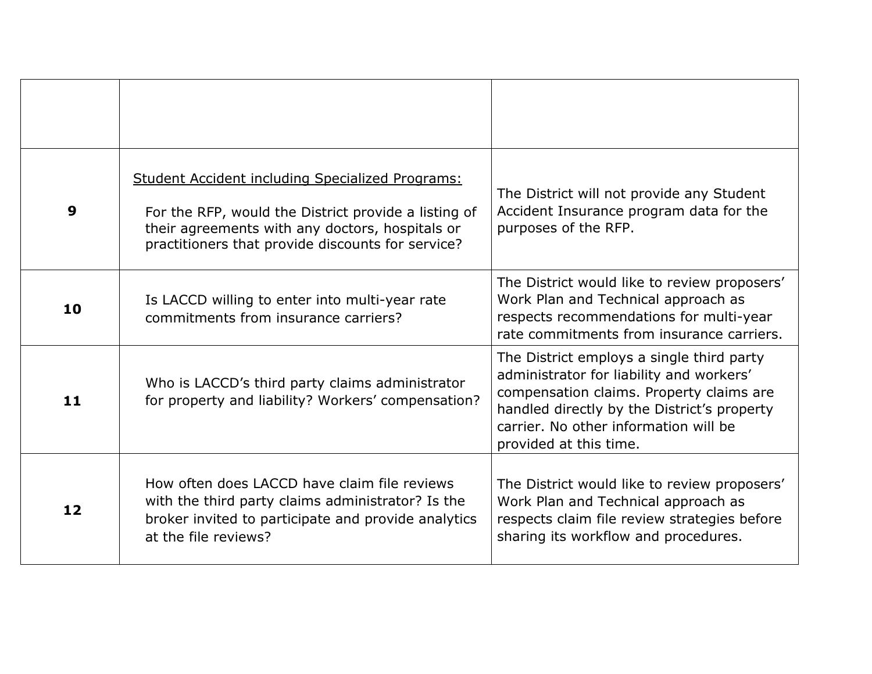| 9  | <b>Student Accident including Specialized Programs:</b><br>For the RFP, would the District provide a listing of<br>their agreements with any doctors, hospitals or<br>practitioners that provide discounts for service? | The District will not provide any Student<br>Accident Insurance program data for the<br>purposes of the RFP.                                                                                                                                        |
|----|-------------------------------------------------------------------------------------------------------------------------------------------------------------------------------------------------------------------------|-----------------------------------------------------------------------------------------------------------------------------------------------------------------------------------------------------------------------------------------------------|
| 10 | Is LACCD willing to enter into multi-year rate<br>commitments from insurance carriers?                                                                                                                                  | The District would like to review proposers'<br>Work Plan and Technical approach as<br>respects recommendations for multi-year<br>rate commitments from insurance carriers.                                                                         |
| 11 | Who is LACCD's third party claims administrator<br>for property and liability? Workers' compensation?                                                                                                                   | The District employs a single third party<br>administrator for liability and workers'<br>compensation claims. Property claims are<br>handled directly by the District's property<br>carrier. No other information will be<br>provided at this time. |
| 12 | How often does LACCD have claim file reviews<br>with the third party claims administrator? Is the<br>broker invited to participate and provide analytics<br>at the file reviews?                                        | The District would like to review proposers'<br>Work Plan and Technical approach as<br>respects claim file review strategies before<br>sharing its workflow and procedures.                                                                         |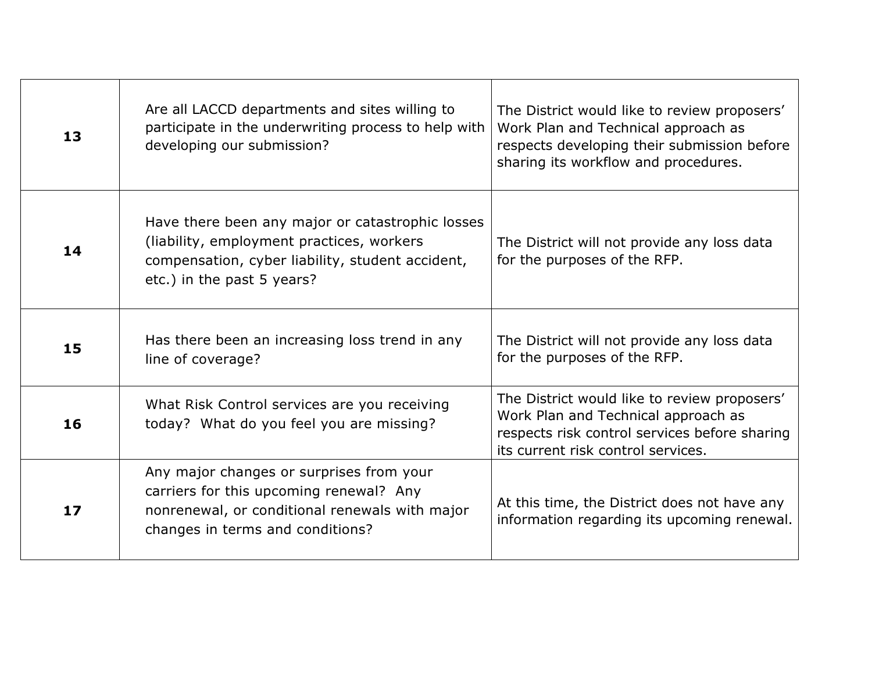| 13   | Are all LACCD departments and sites willing to<br>participate in the underwriting process to help with<br>developing our submission?                                            | The District would like to review proposers'<br>Work Plan and Technical approach as<br>respects developing their submission before<br>sharing its workflow and procedures. |
|------|---------------------------------------------------------------------------------------------------------------------------------------------------------------------------------|----------------------------------------------------------------------------------------------------------------------------------------------------------------------------|
| 14   | Have there been any major or catastrophic losses<br>(liability, employment practices, workers<br>compensation, cyber liability, student accident,<br>etc.) in the past 5 years? | The District will not provide any loss data<br>for the purposes of the RFP.                                                                                                |
| 15   | Has there been an increasing loss trend in any<br>line of coverage?                                                                                                             | The District will not provide any loss data<br>for the purposes of the RFP.                                                                                                |
| 16   | What Risk Control services are you receiving<br>today? What do you feel you are missing?                                                                                        | The District would like to review proposers'<br>Work Plan and Technical approach as<br>respects risk control services before sharing<br>its current risk control services. |
| $17$ | Any major changes or surprises from your<br>carriers for this upcoming renewal? Any<br>nonrenewal, or conditional renewals with major<br>changes in terms and conditions?       | At this time, the District does not have any<br>information regarding its upcoming renewal.                                                                                |